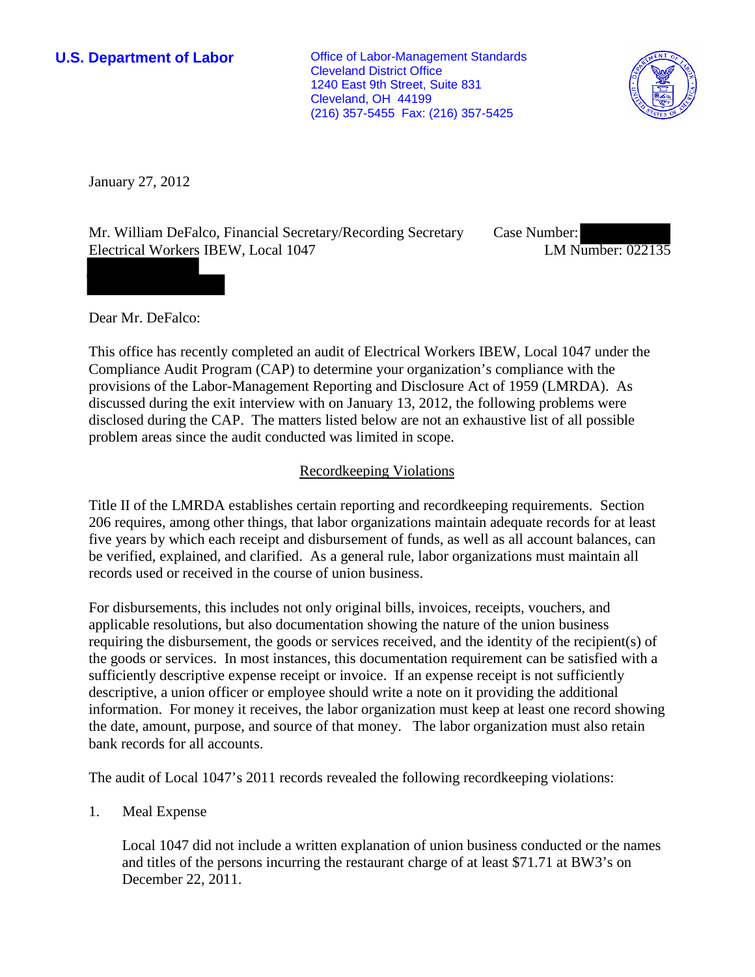**U.S. Department of Labor Conservative Conservative Conservative Conservative Conservative Conservative Conservative Conservative Conservative Conservative Conservative Conservative Conservative Conservative Conservative** Cleveland District Office 1240 East 9th Street, Suite 831 Cleveland, OH 44199 (216) 357-5455 Fax: (216) 357-5425



January 27, 2012

Mr. William DeFalco, Financial Secretary/Recording Secretary Electrical Workers IBEW, Local 1047

Case Number: LM Number: 022135

Dear Mr. DeFalco:

This office has recently completed an audit of Electrical Workers IBEW, Local 1047 under the Compliance Audit Program (CAP) to determine your organization's compliance with the provisions of the Labor-Management Reporting and Disclosure Act of 1959 (LMRDA). As discussed during the exit interview with on January 13, 2012, the following problems were disclosed during the CAP. The matters listed below are not an exhaustive list of all possible problem areas since the audit conducted was limited in scope.

# Recordkeeping Violations

Title II of the LMRDA establishes certain reporting and recordkeeping requirements. Section 206 requires, among other things, that labor organizations maintain adequate records for at least five years by which each receipt and disbursement of funds, as well as all account balances, can be verified, explained, and clarified. As a general rule, labor organizations must maintain all records used or received in the course of union business.

For disbursements, this includes not only original bills, invoices, receipts, vouchers, and applicable resolutions, but also documentation showing the nature of the union business requiring the disbursement, the goods or services received, and the identity of the recipient(s) of the goods or services. In most instances, this documentation requirement can be satisfied with a sufficiently descriptive expense receipt or invoice. If an expense receipt is not sufficiently descriptive, a union officer or employee should write a note on it providing the additional information. For money it receives, the labor organization must keep at least one record showing the date, amount, purpose, and source of that money. The labor organization must also retain bank records for all accounts.

The audit of Local 1047's 2011 records revealed the following recordkeeping violations:

1. Meal Expense

Local 1047 did not include a written explanation of union business conducted or the names and titles of the persons incurring the restaurant charge of at least \$71.71 at BW3's on December 22, 2011.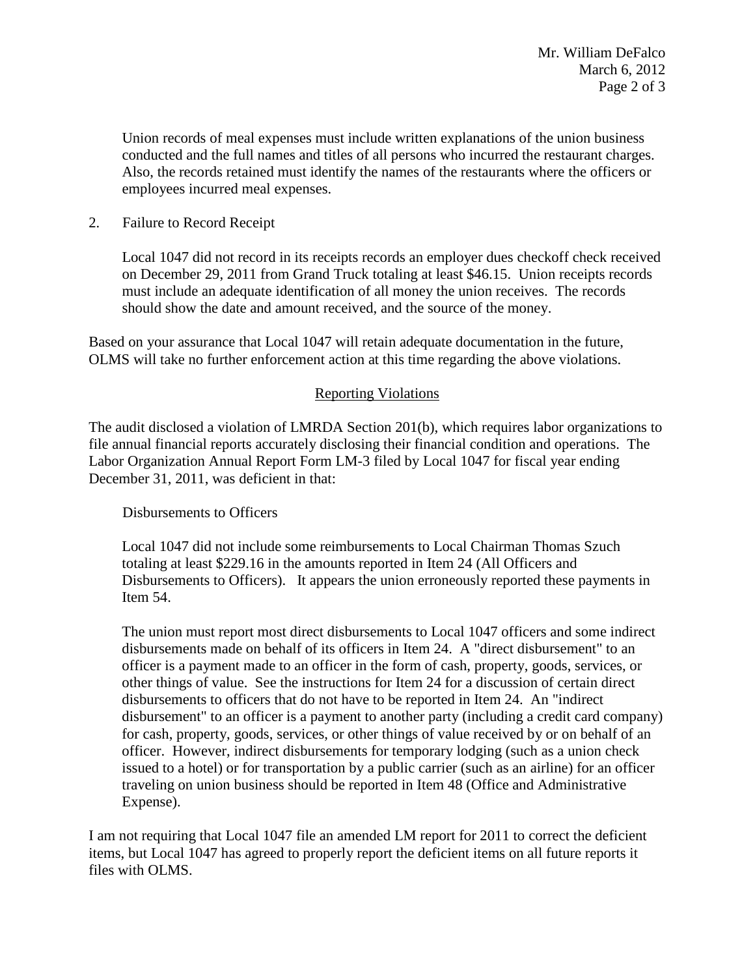Union records of meal expenses must include written explanations of the union business conducted and the full names and titles of all persons who incurred the restaurant charges. Also, the records retained must identify the names of the restaurants where the officers or employees incurred meal expenses.

## 2. Failure to Record Receipt

Local 1047 did not record in its receipts records an employer dues checkoff check received on December 29, 2011 from Grand Truck totaling at least \$46.15. Union receipts records must include an adequate identification of all money the union receives. The records should show the date and amount received, and the source of the money.

Based on your assurance that Local 1047 will retain adequate documentation in the future, OLMS will take no further enforcement action at this time regarding the above violations.

# Reporting Violations

The audit disclosed a violation of LMRDA Section 201(b), which requires labor organizations to file annual financial reports accurately disclosing their financial condition and operations. The Labor Organization Annual Report Form LM-3 filed by Local 1047 for fiscal year ending December 31, 2011, was deficient in that:

# Disbursements to Officers

Local 1047 did not include some reimbursements to Local Chairman Thomas Szuch totaling at least \$229.16 in the amounts reported in Item 24 (All Officers and Disbursements to Officers). It appears the union erroneously reported these payments in Item 54.

The union must report most direct disbursements to Local 1047 officers and some indirect disbursements made on behalf of its officers in Item 24. A "direct disbursement" to an officer is a payment made to an officer in the form of cash, property, goods, services, or other things of value. See the instructions for Item 24 for a discussion of certain direct disbursements to officers that do not have to be reported in Item 24. An "indirect disbursement" to an officer is a payment to another party (including a credit card company) for cash, property, goods, services, or other things of value received by or on behalf of an officer. However, indirect disbursements for temporary lodging (such as a union check issued to a hotel) or for transportation by a public carrier (such as an airline) for an officer traveling on union business should be reported in Item 48 (Office and Administrative Expense).

I am not requiring that Local 1047 file an amended LM report for 2011 to correct the deficient items, but Local 1047 has agreed to properly report the deficient items on all future reports it files with OLMS.